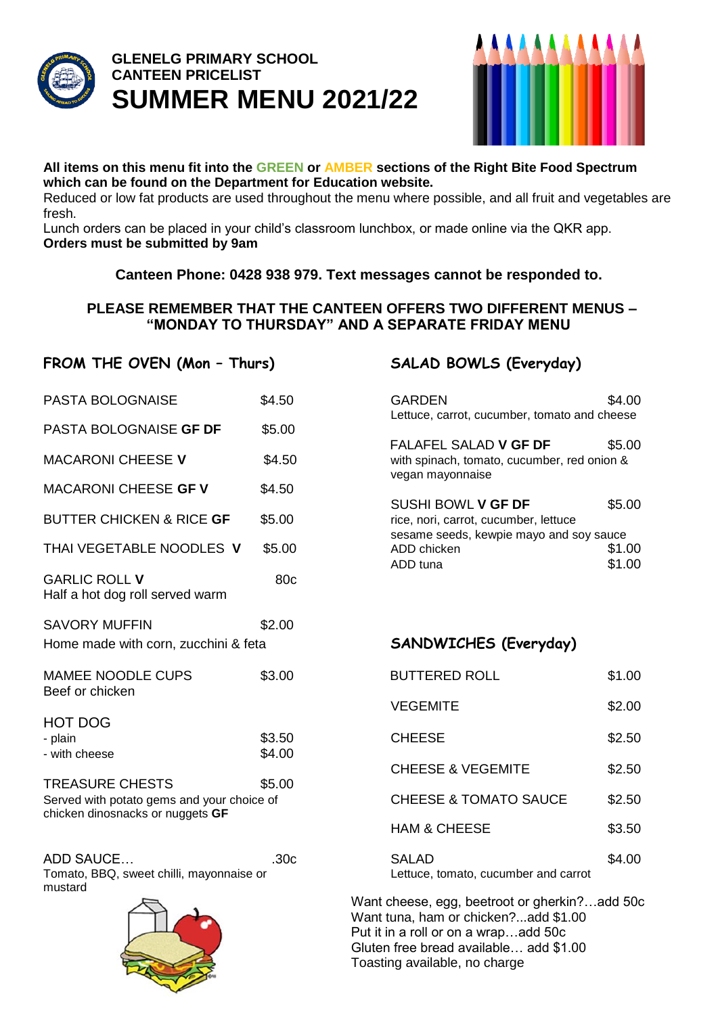

# **GLENELG PRIMARY SCHOOL CANTEEN PRICELIST SUMMER MENU 2021/22**



### **All items on this menu fit into the GREEN or AMBER sections of the Right Bite Food Spectrum which can be found on the Department for Education website.**

Reduced or low fat products are used throughout the menu where possible, and all fruit and vegetables are fresh.

Lunch orders can be placed in your child's classroom lunchbox, or made online via the QKR app. **Orders must be submitted by 9am**

### **Canteen Phone: 0428 938 979. Text messages cannot be responded to.**

### **PLEASE REMEMBER THAT THE CANTEEN OFFERS TWO DIFFERENT MENUS – "MONDAY TO THURSDAY" AND A SEPARATE FRIDAY MENU**

## **FROM THE OVEN (Mon – Thurs) SALAD BOWLS (Everyday)**

| I RUM THE UVER (MUIL - THUIS)                                                  |                 | UALAU DUWLU (LVEI YUUY)                                                                                |        |
|--------------------------------------------------------------------------------|-----------------|--------------------------------------------------------------------------------------------------------|--------|
| <b>PASTA BOLOGNAISE</b>                                                        | \$4.50          | <b>GARDEN</b><br>Lettuce, carrot, cucumber, tomato and cheese                                          | \$4.00 |
| PASTA BOLOGNAISE GF DF                                                         | \$5.00          |                                                                                                        |        |
| <b>MACARONI CHEESE V</b>                                                       | \$4.50          | FALAFEL SALAD V GF DF<br>with spinach, tomato, cucumber, red onion &<br>vegan mayonnaise               | \$5.00 |
| MACARONI CHEESE GF V                                                           | \$4.50          |                                                                                                        |        |
| <b>BUTTER CHICKEN &amp; RICE GF</b>                                            | \$5.00          | SUSHI BOWL V GF DF<br>rice, nori, carrot, cucumber, lettuce<br>sesame seeds, kewpie mayo and soy sauce | \$5.00 |
| THAI VEGETABLE NOODLES V                                                       | \$5.00          | ADD chicken                                                                                            | \$1.00 |
| <b>GARLIC ROLL V</b><br>Half a hot dog roll served warm                        | 80 <sub>c</sub> | ADD tuna                                                                                               | \$1.00 |
| <b>SAVORY MUFFIN</b>                                                           | \$2.00          |                                                                                                        |        |
| Home made with corn, zucchini & feta                                           |                 | SANDWICHES (Everyday)                                                                                  |        |
| <b>MAMEE NOODLE CUPS</b>                                                       | \$3.00          | <b>BUTTERED ROLL</b>                                                                                   | \$1.00 |
| Beef or chicken                                                                |                 | <b>VEGEMITE</b>                                                                                        | \$2.00 |
| <b>HOT DOG</b>                                                                 |                 |                                                                                                        |        |
| - plain                                                                        | \$3.50          | <b>CHEESE</b>                                                                                          | \$2.50 |
| - with cheese                                                                  | \$4.00          | <b>CHEESE &amp; VEGEMITE</b>                                                                           | \$2.50 |
| <b>TREASURE CHESTS</b>                                                         | \$5.00          |                                                                                                        |        |
| Served with potato gems and your choice of<br>chicken dinosnacks or nuggets GF |                 | <b>CHEESE &amp; TOMATO SAUCE</b>                                                                       | \$2.50 |
|                                                                                |                 |                                                                                                        |        |

| \$5.00<br>with spinach, tomato, cucumber, red onion & |
|-------------------------------------------------------|
| \$5.00                                                |
| sesame seeds, kewpie mayo and soy sauce               |
|                                                       |
| \$1.00                                                |
| \$1.00                                                |
|                                                       |

### $SANDWICHES (Everyday)$

| <b>BUTTERED ROLL</b>                          | \$1.00 |
|-----------------------------------------------|--------|
| <b>VEGEMITE</b>                               | \$2.00 |
| <b>CHEESE</b>                                 | \$2.50 |
| <b>CHEESE &amp; VEGEMITE</b>                  | \$2.50 |
| <b>CHEESE &amp; TOMATO SAUCE</b>              | \$2.50 |
| <b>HAM &amp; CHEESE</b>                       | \$3.50 |
| SALAD<br>Lettuce, tomato, cucumber and carrot | \$4.00 |

Want cheese, egg, beetroot or gherkin?…add 50c Want tuna, ham or chicken?...add \$1.00 Put it in a roll or on a wrap…add 50c Gluten free bread available… add \$1.00 Toasting available, no charge



ADD SAUCE... Tomato, BBQ, sweet chilli, mayonnaise or

mustard